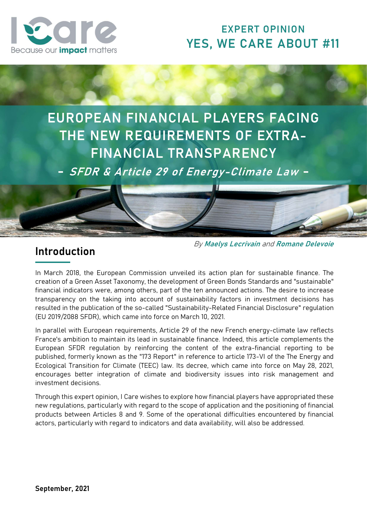

# EXPERT OPINION YES, WE CARE ABOUT #11

EUROPEAN FINANCIAL PLAYERS FACING THE NEW REQUIREMENTS OF EXTRA-FINANCIAL TRANSPARENCY

- SFDR & Article 29 of Energy-Climate Law -



# Introduction

By Maelys Lecrivain and Romane Delevoie

In March 2018, the European Commission unveiled its action plan for sustainable finance. The creation of a Green Asset Taxonomy, the development of Green Bonds Standards and "sustainable" financial indicators were, among others, part of the ten announced actions. The desire to increase transparency on the taking into account of sustainability factors in investment decisions has resulted in the publication of the so-called "Sustainability-Related Financial Disclosure" regulation (EU 2019/2088 SFDR), which came into force on March 10, 2021.

In parallel with European requirements, Article 29 of the new French energy-climate law reflects France's ambition to maintain its lead in sustainable finance. Indeed, this article complements the European SFDR regulation by reinforcing the content of the extra-financial reporting to be published, formerly known as the "173 Report" in reference to article 173-VI of the The Energy and Ecological Transition for Climate (TEEC) law. Its decree, which came into force on May 28, 2021, encourages better integration of climate and biodiversity issues into risk management and investment decisions.

Through this expert opinion, I Care wishes to explore how financial players have appropriated these new regulations, particularly with regard to the scope of application and the positioning of financial products between Articles 8 and 9. Some of the operational difficulties encountered by financial actors, particularly with regard to indicators and data availability, will also be addressed.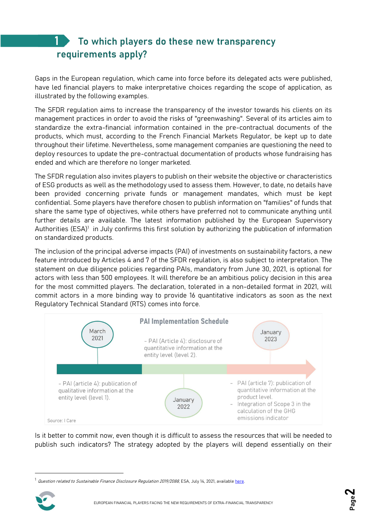### To which players do these new transparency requirements apply? 1

Gaps in the European regulation, which came into force before its delegated acts were published, have led financial players to make interpretative choices regarding the scope of application, as illustrated by the following examples.

The SFDR regulation aims to increase the transparency of the investor towards his clients on its management practices in order to avoid the risks of "greenwashing". Several of its articles aim to standardize the extra-financial information contained in the pre-contractual documents of the products, which must, according to the French Financial Markets Regulator, be kept up to date throughout their lifetime. Nevertheless, some management companies are questioning the need to deploy resources to update the pre-contractual documentation of products whose fundraising has ended and which are therefore no longer marketed.

The SFDR regulation also invites players to publish on their website the objective or characteristics of ESG products as well as the methodology used to assess them. However, to date, no details have been provided concerning private funds or management mandates, which must be kept confidential. Some players have therefore chosen to publish information on "families" of funds that share the same type of objectives, while others have preferred not to communicate anything until further details are available. The latest information published by the European Supervisory Authorities (ESA)<sup>1</sup> in July confirms this first solution by authorizing the publication of information on standardized products.

The inclusion of the principal adverse impacts (PAI) of investments on sustainability factors, a new feature introduced by Articles 4 and 7 of the SFDR regulation, is also subject to interpretation. The statement on due diligence policies regarding PAIs, mandatory from June 30, 2021, is optional for actors with less than 500 employees. It will therefore be an ambitious policy decision in this area for the most committed players. The declaration, tolerated in a non-detailed format in 2021, will commit actors in a more binding way to provide 16 quantitative indicators as soon as the next Regulatory Technical Standard (RTS) comes into force.



Is it better to commit now, even though it is difficult to assess the resources that will be needed to publish such indicators? The strategy adopted by the players will depend essentially on their

Question related to Sustainable Finance Disclosure Regulation 2019/2088, ESA, July 14, 2021, available here.

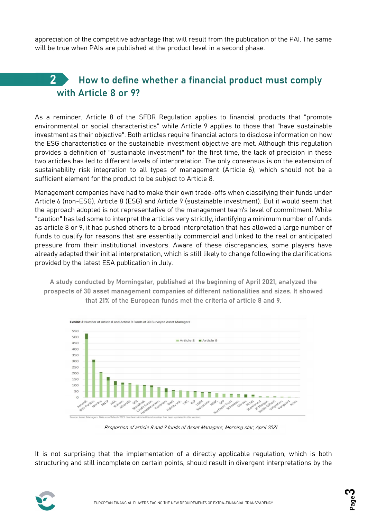appreciation of the competitive advantage that will result from the publication of the PAI. The same will be true when PAIs are published at the product level in a second phase.

# 2 How to define whether a financial product must comply with Article 8 or 9?

As a reminder, Article 8 of the SFDR Regulation applies to financial products that "promote environmental or social characteristics" while Article 9 applies to those that "have sustainable investment as their objective". Both articles require financial actors to disclose information on how the ESG characteristics or the sustainable investment objective are met. Although this regulation provides a definition of "sustainable investment" for the first time, the lack of precision in these two articles has led to different levels of interpretation. The only consensus is on the extension of sustainability risk integration to all types of management (Article 6), which should not be a sufficient element for the product to be subject to Article 8.

Management companies have had to make their own trade-offs when classifying their funds under Article 6 (non-ESG), Article 8 (ESG) and Article 9 (sustainable investment). But it would seem that the approach adopted is not representative of the management team's level of commitment. While "caution" has led some to interpret the articles very strictly, identifying a minimum number of funds as article 8 or 9, it has pushed others to a broad interpretation that has allowed a large number of funds to qualify for reasons that are essentially commercial and linked to the real or anticipated pressure from their institutional investors. Aware of these discrepancies, some players have already adapted their initial interpretation, which is still likely to change following the clarifications provided by the latest ESA publication in July.

A study conducted by Morningstar, published at the beginning of April 2021, analyzed the prospects of 30 asset management companies of different nationalities and sizes. It showed that 21% of the European funds met the criteria of article 8 and 9.



Proportion of article 8 and 9 funds of Asset Managers, Morning star, April 2021

It is not surprising that the implementation of a directly applicable regulation, which is both structuring and still incomplete on certain points, should result in divergent interpretations by the

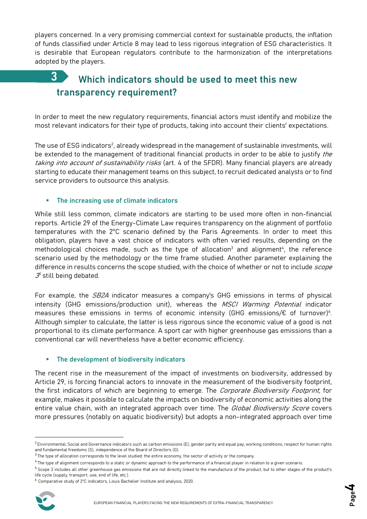players concerned. In a very promising commercial context for sustainable products, the inflation of funds classified under Article 8 may lead to less rigorous integration of ESG characteristics. It is desirable that European regulators contribute to the harmonization of the interpretations adopted by the players.

## Which indicators should be used to meet this new transparency requirement? 3

In order to meet the new regulatory requirements, financial actors must identify and mobilize the most relevant indicators for their type of products, taking into account their clients' expectations.

The use of ESG indicators $^2$ , already widespread in the management of sustainable investments, will be extended to the management of traditional financial products in order to be able to justify the taking into account of sustainability risks (art. 4 of the SFDR). Many financial players are already starting to educate their management teams on this subject, to recruit dedicated analysts or to find service providers to outsource this analysis.

### The increasing use of climate indicators

While still less common, climate indicators are starting to be used more often in non-financial reports. Article 29 of the Energy-Climate Law requires transparency on the alignment of portfolio temperatures with the 2°C scenario defined by the Paris Agreements. In order to meet this obligation, players have a vast choice of indicators with often varied results, depending on the methodological choices made, such as the type of allocation $3$  and alignment<sup>4</sup>, the reference scenario used by the methodology or the time frame studied. Another parameter explaining the difference in results concerns the scope studied, with the choice of whether or not to include *scope*  $\mathcal{S}^{\!\scriptscriptstyle\mathsf{5}}$ still being debated.

For example, the *SB2A* indicator measures a company's GHG emissions in terms of physical intensity (GHG emissions/production unit), whereas the *MSCI Warming Potential* indicator measures these emissions in terms of economic intensity (GHG emissions/ $\epsilon$  of turnover)<sup>6</sup>. Although simpler to calculate, the latter is less rigorous since the economic value of a good is not proportional to its climate performance. A sport car with higher greenhouse gas emissions than a conventional car will nevertheless have a better economic efficiency.

#### The development of biodiversity indicators

The recent rise in the measurement of the impact of investments on biodiversity, addressed by Article 29, is forcing financial actors to innovate in the measurement of the biodiversity footprint, the first indicators of which are beginning to emerge. The *Corporate Biodiversity Footprint*, for example, makes it possible to calculate the impacts on biodiversity of economic activities along the entire value chain, with an integrated approach over time. The *Global Biodiversity Score* covers more pressures (notably on aquatic biodiversity) but adopts a non-integrated approach over time

<sup>6</sup> Comparative study of 2°C indicators, Louis Bachelier Institute and analysis, 2020.



 $^2$  Environmental, Social and Governance indicators such as carbon emissions (E), gender parity and equal pay, working conditions, respect for human rights and fundamental freedoms (S), independence of the Board of Directors (G).

 $3$  The type of allocation corresponds to the level studied: the entire economy, the sector of activity or the company.

<sup>&</sup>lt;sup>4</sup>The type of alignment corresponds to a static or dynamic approach to the performance of a financial player in relation to a given scenario.

<sup>5</sup> Scope 3 includes all other greenhouse gas emissions that are not directly linked to the manufacture of the product, but to other stages of the product's life cycle (supply, transport, use, end of life, etc.).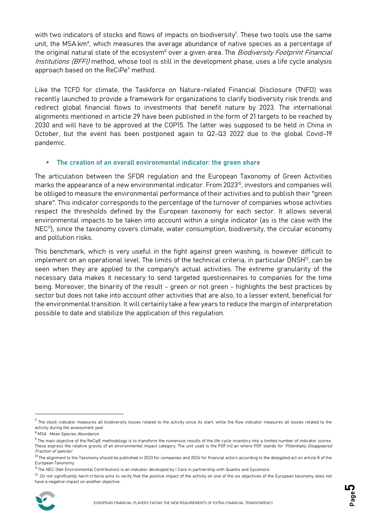with two indicators of stocks and flows of impacts on biodiversity<sup>7</sup>. These two tools use the same unit, the MSA.km², which measures the average abundance of native species as a percentage of the original natural state of the ecosystem<sup>8</sup> over a given area. The *Biodiversity Footprint Financial* Institutions (BFFI) method, whose tool is still in the development phase, uses a life cycle analysis approach based on the ReCiPe<sup>9</sup> method.

Like the TCFD for climate, the Taskforce on Nature-related Financial Disclosure (TNFD) was recently launched to provide a framework for organizations to clarify biodiversity risk trends and redirect global financial flows to investments that benefit nature by 2023. The international alignments mentioned in article 29 have been published in the form of 21 targets to be reached by 2030 and will have to be approved at the COP15. The latter was supposed to be held in China in October, but the event has been postponed again to Q2-Q3 2022 due to the global Covid-19 pandemic.

### The creation of an overall environmental indicator: the green share

The articulation between the SFDR regulation and the European Taxonomy of Green Activities marks the appearance of a new environmental indicator. From 2023<sup>10</sup>, investors and companies will be obliged to measure the environmental performance of their activities and to publish their "green share". This indicator corresponds to the percentage of the turnover of companies whose activities respect the thresholds defined by the European taxonomy for each sector. It allows several environmental impacts to be taken into account within a single indicator (as is the case with the NEC<sup>11</sup>), since the taxonomy covers climate, water consumption, biodiversity, the circular economy and pollution risks.

This benchmark, which is very useful in the fight against green washing, is however difficult to implement on an operational level. The limits of the technical criteria, in particular DNSH<sup>12</sup>, can be seen when they are applied to the company's actual activities. The extreme granularity of the necessary data makes it necessary to send targeted questionnaires to companies for the time being. Moreover, the binarity of the result - green or not green - highlights the best practices by sector but does not take into account other activities that are also, to a lesser extent, beneficial for the environmental transition. It will certainly take a few years to reduce the margin of interpretation possible to date and stabilize the application of this regulation.

<sup>&</sup>lt;sup>12</sup> Do not significantly harm criteria aims to verify that the positive impact of the activity on one of the six objectives of the European taxonomy does not have a negative impact on another objective.



 $^7$  The stock indicator measures all biodiversity losses related to the activity since its start, while the flow indicator measures all losses related to the activity during the assessment year.

<sup>8</sup> MSA : Mean Species Abundance

 $9$ The main objective of the ReCipE methodology is to transform the numerous results of the life cycle inventory into a limited number of indicator scores. These express the relative gravity of an environmental impact category. The unit used is the PDF.m2.an where PDF stands for 'Potentially Disappeared Fraction of species'.

 $10$  The alignment to the Taxonomy should be published in 2023 for companies and 2024 for financial actors according to the delegated act on article 8 of the European Taxonomy.

 $11$ The NEC (Net Environmental Contribution) is an indicator developed by I Care in partnership with Quantis and Sycomore.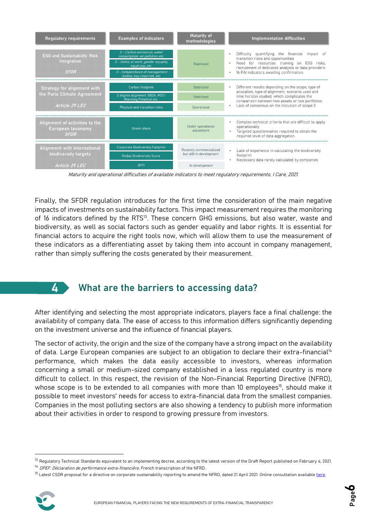| <b>Regulatory requirements</b>                                          | <b>Examples of indicators</b>                                                                                                                                                             | <b>Maturity of</b><br>methodologies                                           | <b>Implementation difficulties</b>                                                                                                                                                                                                      |
|-------------------------------------------------------------------------|-------------------------------------------------------------------------------------------------------------------------------------------------------------------------------------------|-------------------------------------------------------------------------------|-----------------------------------------------------------------------------------------------------------------------------------------------------------------------------------------------------------------------------------------|
| <b>ESG and Sustainability Risk</b><br><b>Integration</b><br><b>SFDR</b> | E - Carbon emissions, water<br>consumption, air pollution etc.<br>S - Safety at work, gender equality,<br>equal pay, etc.<br>G - Independence of management<br>bodies, key-man risk, etc. | Stabilized                                                                    | Difficulty quantifying the financial<br>impact of<br>transition risks and opportunities<br>Need for resources: training on ESG risks,<br>recruitment of dedicated analysts or data providers<br>16 PAI indicators awaiting confirmation |
| <b>Strategy for alignment with</b><br>the Paris Climate Agreement       | Carbon footprint                                                                                                                                                                          | Stabilized                                                                    | Different results depending on the scope, type of<br>allocation, type of alignment, scenario used and<br>time horizon studied, which complicates the<br>comparison between two assets or two portfolios                                 |
|                                                                         | 2 degree alignment: SB2A, MSCI<br><b>Warming Potential etc.</b>                                                                                                                           | Stabilized                                                                    |                                                                                                                                                                                                                                         |
| Article 29 LEC                                                          | Physical and transition risks                                                                                                                                                             | Operational                                                                   | Lack of consensus on the inclusion of scope 3                                                                                                                                                                                           |
| Alignment of activities to the<br>European taxonomy<br><b>SFDR</b>      | Green share                                                                                                                                                                               | Under operational<br>adjustment                                               | Complex technical criteria that are difficult to apply<br>operationally<br>Targeted questionnaires required to obtain the<br>required level of data aggregation.                                                                        |
| Alignment with international<br>biodiversity targets                    | <b>Corporate Biodiversity Footprint</b>                                                                                                                                                   | Recently commercialized<br>Lack of experience in calculating the biodiversity |                                                                                                                                                                                                                                         |
|                                                                         | <b>Global Biodiversity Score</b>                                                                                                                                                          | but still in development                                                      | footprint<br>Necessary data rarely calculated by companies                                                                                                                                                                              |
| Article 29 LEC                                                          | <b>BFFI</b>                                                                                                                                                                               | In development                                                                |                                                                                                                                                                                                                                         |

Maturity and operational difficulties of available indicators to meet regulatory requirements, I Care, 2021.

Finally, the SFDR regulation introduces for the first time the consideration of the main negative impacts of investments on sustainability factors. This impact measurement requires the monitoring of 16 indicators defined by the RTS<sup>13</sup>. These concern GHG emissions, but also water, waste and biodiversity, as well as social factors such as gender equality and labor rights. It is essential for financial actors to acquire the right tools now, which will allow them to use the measurement of these indicators as a differentiating asset by taking them into account in company management, rather than simply suffering the costs generated by their measurement.

4

## What are the barriers to accessing data?

After identifying and selecting the most appropriate indicators, players face a final challenge: the availability of company data. The ease of access to this information differs significantly depending on the investment universe and the influence of financial players.

The sector of activity, the origin and the size of the company have a strong impact on the availability of data. Large European companies are subject to an obligation to declare their extra-financial<sup>14</sup> performance, which makes the data easily accessible to investors, whereas information concerning a small or medium-sized company established in a less regulated country is more difficult to collect. In this respect, the revision of the Non-Financial Reporting Directive (NFRD), whose scope is to be extended to all companies with more than 10 employees<sup>15</sup>, should make it possible to meet investors' needs for access to extra-financial data from the smallest companies. Companies in the most polluting sectors are also showing a tendency to publish more information about their activities in order to respond to growing pressure from investors.

<sup>&</sup>lt;sup>15</sup> Latest CSDR proposal for a directive on corporate sustainability reporting to amend the NFRD, dated 21 April 2021. Online consultation available here.



<sup>&</sup>lt;sup>13</sup> Regulatory Technical Standards equivalent to an implementing decree, according to the latest version of the Draft Report published on February 4, 2021.

 $14$  DPEF: Déclaration de performance extra-financière, French transcription of the NFRD.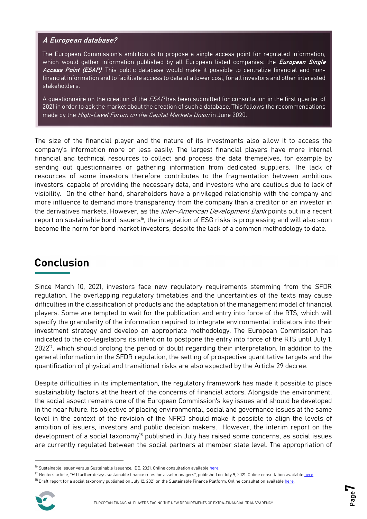### A European database?

The European Commission's ambition is to propose a single access point for regulated information, which would gather information published by all European listed companies: the *European Single* Access Point (ESAP). This public database would make it possible to centralize financial and nonfinancial information and to facilitate access to data at a lower cost, for all investors and other interested stakeholders.

A questionnaire on the creation of the ESAP has been submitted for consultation in the first quarter of 2021 in order to ask the market about the creation of such a database. This follows the recommendations made by the High-Level Forum on the Capital Markets Union in June 2020.

The size of the financial player and the nature of its investments also allow it to access the company's information more or less easily. The largest financial players have more internal financial and technical resources to collect and process the data themselves, for example by sending out questionnaires or gathering information from dedicated suppliers. The lack of resources of some investors therefore contributes to the fragmentation between ambitious investors, capable of providing the necessary data, and investors who are cautious due to lack of visibility. On the other hand, shareholders have a privileged relationship with the company and more influence to demand more transparency from the company than a creditor or an investor in the derivatives markets. However, as the *Inter-American Development Bank* points out in a recent report on sustainable bond issuers<sup>16</sup>, the integration of ESG risks is progressing and will also soon become the norm for bond market investors, despite the lack of a common methodology to date.

# Conclusion

Since March 10, 2021, investors face new regulatory requirements stemming from the SFDR regulation. The overlapping regulatory timetables and the uncertainties of the texts may cause difficulties in the classification of products and the adaptation of the management model of financial players. Some are tempted to wait for the publication and entry into force of the RTS, which will specify the granularity of the information required to integrate environmental indicators into their investment strategy and develop an appropriate methodology. The European Commission has indicated to the co-legislators its intention to postpone the entry into force of the RTS until July 1, 2022<sup>17</sup>, which should prolong the period of doubt regarding their interpretation. In addition to the general information in the SFDR regulation, the setting of prospective quantitative targets and the quantification of physical and transitional risks are also expected by the Article 29 decree.

Despite difficulties in its implementation, the regulatory framework has made it possible to place sustainability factors at the heart of the concerns of financial actors. Alongside the environment, the social aspect remains one of the European Commission's key issues and should be developed in the near future. Its objective of placing environmental, social and governance issues at the same level in the context of the revision of the NFRD should make it possible to align the levels of ambition of issuers, investors and public decision makers. However, the interim report on the development of a social taxonomy<sup>18</sup> published in July has raised some concerns, as social issues are currently regulated between the social partners at member state level. The appropriation of

<sup>&</sup>lt;sup>18</sup> Draft report for a social taxonomy published on July 12, 2021 on the Sustainable Finance Platform. Online consultation available here.



<sup>&</sup>lt;sup>16</sup> Sustainable Issuer versus Sustainable Issuance, IDB, 2021. Online consultation available here.

 $17$  Reuters article, "EU further delays sustainable finance rules for asset managers", published on July 9, 2021. Online consultation available here.